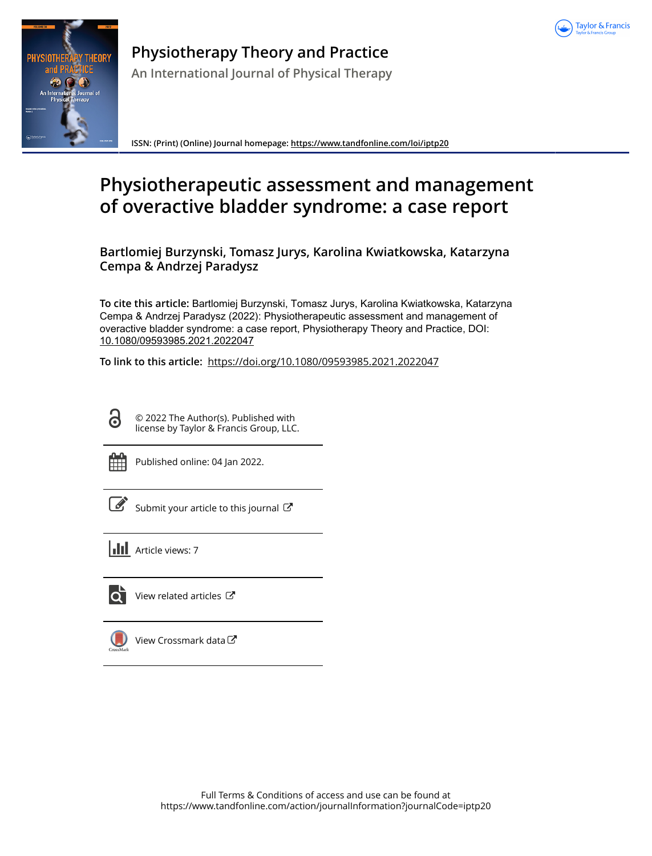



**Physiotherapy Theory and Practice**

**An International Journal of Physical Therapy**

**ISSN: (Print) (Online) Journal homepage:<https://www.tandfonline.com/loi/iptp20>**

# **Physiotherapeutic assessment and management of overactive bladder syndrome: a case report**

**Bartlomiej Burzynski, Tomasz Jurys, Karolina Kwiatkowska, Katarzyna Cempa & Andrzej Paradysz**

**To cite this article:** Bartlomiej Burzynski, Tomasz Jurys, Karolina Kwiatkowska, Katarzyna Cempa & Andrzej Paradysz (2022): Physiotherapeutic assessment and management of overactive bladder syndrome: a case report, Physiotherapy Theory and Practice, DOI: [10.1080/09593985.2021.2022047](https://www.tandfonline.com/action/showCitFormats?doi=10.1080/09593985.2021.2022047)

**To link to this article:** <https://doi.org/10.1080/09593985.2021.2022047>

G

© 2022 The Author(s). Published with license by Taylor & Francis Group, LLC.



Published online: 04 Jan 2022.

 $\overrightarrow{S}$  [Submit your article to this journal](https://www.tandfonline.com/action/authorSubmission?journalCode=iptp20&show=instructions)  $\overrightarrow{S}$ 

**Article views: 7** 



[View related articles](https://www.tandfonline.com/doi/mlt/10.1080/09593985.2021.2022047) C



[View Crossmark data](http://crossmark.crossref.org/dialog/?doi=10.1080/09593985.2021.2022047&domain=pdf&date_stamp=2022-01-04)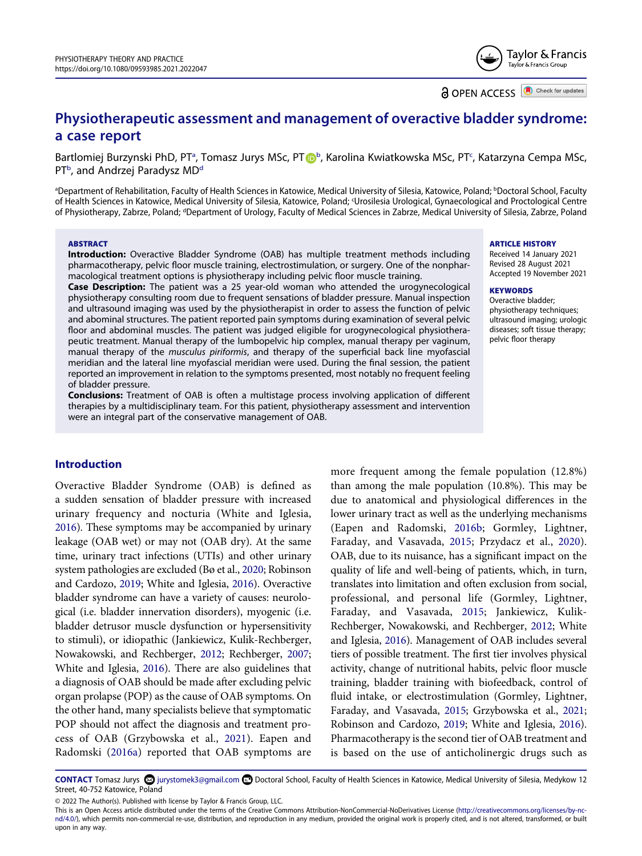Taylor & Francis Taylor & Francis Group

**a** OPEN ACCESS **C** Check for updates

# **Physiotherapeutic assessment and management of overactive bladder syndrome: a case report**

B[a](#page-1-0)rtlomiej Burzynski PhD, PT<sup>a</sup>, Tomasz Jurys MSc, PT D[b](#page-1-0), Karolina Kwiatkowska MSc, PT<sup>c</sup>, Katarzyna Cempa MSc, PT<sup>[b](#page-1-0)</sup>, and Andrzej Paradysz MD<sup>d</sup>

<span id="page-1-2"></span><span id="page-1-1"></span><span id="page-1-0"></span>ªDepartment of Rehabilitation, Faculty of Health Sciences in Katowice, Medical University of Silesia, Katowice, Poland; <sup>b</sup>Doctoral School, Faculty of Health Sciences in Katowice, Medical University of Silesia, Katowice, Poland; c Urosilesia Urological, Gynaecological and Proctological Centre of Physiotherapy, Zabrze, Poland; <sup>a</sup>Department of Urology, Faculty of Medical Sciences in Zabrze, Medical University of Silesia, Zabrze, Poland

#### **ABSTRACT**

**Introduction:** Overactive Bladder Syndrome (OAB) has multiple treatment methods including pharmacotherapy, pelvic floor muscle training, electrostimulation, or surgery. One of the nonpharmacological treatment options is physiotherapy including pelvic floor muscle training.

**Case Description:** The patient was a 25 year-old woman who attended the urogynecological physiotherapy consulting room due to frequent sensations of bladder pressure. Manual inspection and ultrasound imaging was used by the physiotherapist in order to assess the function of pelvic and abominal structures. The patient reported pain symptoms during examination of several pelvic floor and abdominal muscles. The patient was judged eligible for urogynecological physiotherapeutic treatment. Manual therapy of the lumbopelvic hip complex, manual therapy per vaginum, manual therapy of the *musculus piriformis*, and therapy of the superficial back line myofascial meridian and the lateral line myofascial meridian were used. During the final session, the patient reported an improvement in relation to the symptoms presented, most notably no frequent feeling of bladder pressure.

**Conclusions:** Treatment of OAB is often a multistage process involving application of different therapies by a multidisciplinary team. For this patient, physiotherapy assessment and intervention were an integral part of the conservative management of OAB.

# **Introduction**

<span id="page-1-3"></span>Overactive Bladder Syndrome (OAB) is defined as a sudden sensation of bladder pressure with increased urinary frequency and nocturia (White and Iglesia, [2016\)](#page-8-0). These symptoms may be accompanied by urinary leakage (OAB wet) or may not (OAB dry). At the same time, urinary tract infections (UTIs) and other urinary system pathologies are excluded (Bø et al., [2020;](#page-7-0) Robinson and Cardozo, [2019](#page-8-1); White and Iglesia, [2016\)](#page-8-0). Overactive bladder syndrome can have a variety of causes: neurological (i.e. bladder innervation disorders), myogenic (i.e. bladder detrusor muscle dysfunction or hypersensitivity to stimuli), or idiopathic (Jankiewicz, Kulik-Rechberger, Nowakowski, and Rechberger, [2012](#page-8-2); Rechberger, [2007;](#page-8-3) White and Iglesia, [2016\)](#page-8-0). There are also guidelines that a diagnosis of OAB should be made after excluding pelvic organ prolapse (POP) as the cause of OAB symptoms. On the other hand, many specialists believe that symptomatic POP should not affect the diagnosis and treatment process of OAB (Grzybowska et al., [2021](#page-7-1)). Eapen and Radomski ([2016a\)](#page-7-2) reported that OAB symptoms are

<span id="page-1-10"></span><span id="page-1-8"></span><span id="page-1-7"></span><span id="page-1-6"></span><span id="page-1-5"></span>more frequent among the female population (12.8%) than among the male population (10.8%). This may be due to anatomical and physiological differences in the lower urinary tract as well as the underlying mechanisms (Eapen and Radomski, [2016b](#page-7-3); Gormley, Lightner, Faraday, and Vasavada, [2015](#page-7-4); Przydacz et al., [2020\)](#page-8-4). OAB, due to its nuisance, has a significant impact on the quality of life and well-being of patients, which, in turn, translates into limitation and often exclusion from social, professional, and personal life (Gormley, Lightner, Faraday, and Vasavada, [2015;](#page-7-4) Jankiewicz, Kulik-Rechberger, Nowakowski, and Rechberger, [2012;](#page-8-2) White and Iglesia, [2016\)](#page-8-0). Management of OAB includes several tiers of possible treatment. The first tier involves physical activity, change of nutritional habits, pelvic floor muscle training, bladder training with biofeedback, control of fluid intake, or electrostimulation (Gormley, Lightner, Faraday, and Vasavada, [2015](#page-7-4); Grzybowska et al., [2021;](#page-7-1) Robinson and Cardozo, [2019](#page-8-1); White and Iglesia, [2016](#page-8-0)). Pharmacotherapy is the second tier of OAB treatment and is based on the use of anticholinergic drugs such as

<span id="page-1-9"></span><span id="page-1-4"></span>CONTACT Tomasz Jurys <sup>5</sup> jurystomek3@gmail.com **■** Doctoral School, Faculty of Health Sciences in Katowice, Medical University of Silesia, Medykow 12 Street, 40-752 Katowice, Poland

© 2022 The Author(s). Published with license by Taylor & Francis Group, LLC.

#### **ARTICLE HISTORY**

Received 14 January 2021 Revised 28 August 2021 Accepted 19 November 2021

#### **KEYWORDS**

Overactive bladder; physiotherapy techniques; ultrasound imaging; urologic diseases; soft tissue therapy; pelvic floor therapy

This is an Open Access article distributed under the terms of the Creative Commons Attribution-NonCommercial-NoDerivatives License (http://creativecommons.org/licenses/by-ncnd/4.0/), which permits non-commercial re-use, distribution, and reproduction in any medium, provided the original work is properly cited, and is not altered, transformed, or built upon in any way.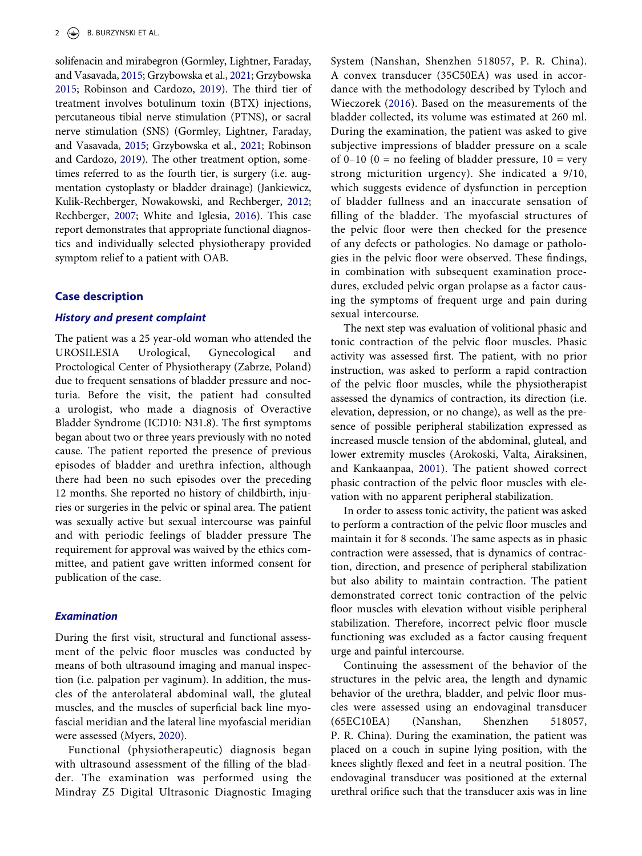<span id="page-2-1"></span>solifenacin and mirabegron (Gormley, Lightner, Faraday, and Vasavada, [2015;](#page-7-4) Grzybowska et al., [2021](#page-7-1); Grzybowska [2015;](#page-7-5) Robinson and Cardozo, [2019\)](#page-8-1). The third tier of treatment involves botulinum toxin (BTX) injections, percutaneous tibial nerve stimulation (PTNS), or sacral nerve stimulation (SNS) (Gormley, Lightner, Faraday, and Vasavada, [2015](#page-7-4); Grzybowska et al., [2021](#page-7-1); Robinson and Cardozo, [2019\)](#page-8-1). The other treatment option, sometimes referred to as the fourth tier, is surgery (i.e. augmentation cystoplasty or bladder drainage) (Jankiewicz, Kulik-Rechberger, Nowakowski, and Rechberger, [2012;](#page-8-2) Rechberger, [2007;](#page-8-3) White and Iglesia, [2016](#page-8-0)). This case report demonstrates that appropriate functional diagnostics and individually selected physiotherapy provided symptom relief to a patient with OAB.

# **Case description**

#### *History and present complaint*

The patient was a 25 year-old woman who attended the UROSILESIA Urological, Gynecological and Proctological Center of Physiotherapy (Zabrze, Poland) due to frequent sensations of bladder pressure and nocturia. Before the visit, the patient had consulted a urologist, who made a diagnosis of Overactive Bladder Syndrome (ICD10: N31.8). The first symptoms began about two or three years previously with no noted cause. The patient reported the presence of previous episodes of bladder and urethra infection, although there had been no such episodes over the preceding 12 months. She reported no history of childbirth, injuries or surgeries in the pelvic or spinal area. The patient was sexually active but sexual intercourse was painful and with periodic feelings of bladder pressure The requirement for approval was waived by the ethics committee, and patient gave written informed consent for publication of the case.

# *Examination*

During the first visit, structural and functional assessment of the pelvic floor muscles was conducted by means of both ultrasound imaging and manual inspection (i.e. palpation per vaginum). In addition, the muscles of the anterolateral abdominal wall, the gluteal muscles, and the muscles of superficial back line myofascial meridian and the lateral line myofascial meridian were assessed (Myers, [2020\)](#page-8-5).

<span id="page-2-2"></span>Functional (physiotherapeutic) diagnosis began with ultrasound assessment of the filling of the bladder. The examination was performed using the Mindray Z5 Digital Ultrasonic Diagnostic Imaging

<span id="page-2-3"></span>System (Nanshan, Shenzhen 518057, P. R. China). A convex transducer (35C50EA) was used in accordance with the methodology described by Tyloch and Wieczorek ([2016](#page-8-6)). Based on the measurements of the bladder collected, its volume was estimated at 260 ml. During the examination, the patient was asked to give subjective impressions of bladder pressure on a scale of 0–10 (0 = no feeling of bladder pressure,  $10 = \text{very}$ strong micturition urgency). She indicated a 9/10, which suggests evidence of dysfunction in perception of bladder fullness and an inaccurate sensation of filling of the bladder. The myofascial structures of the pelvic floor were then checked for the presence of any defects or pathologies. No damage or pathologies in the pelvic floor were observed. These findings, in combination with subsequent examination procedures, excluded pelvic organ prolapse as a factor causing the symptoms of frequent urge and pain during sexual intercourse.

The next step was evaluation of volitional phasic and tonic contraction of the pelvic floor muscles. Phasic activity was assessed first. The patient, with no prior instruction, was asked to perform a rapid contraction of the pelvic floor muscles, while the physiotherapist assessed the dynamics of contraction, its direction (i.e. elevation, depression, or no change), as well as the presence of possible peripheral stabilization expressed as increased muscle tension of the abdominal, gluteal, and lower extremity muscles (Arokoski, Valta, Airaksinen, and Kankaanpaa, [2001\)](#page-7-6). The patient showed correct phasic contraction of the pelvic floor muscles with elevation with no apparent peripheral stabilization.

<span id="page-2-0"></span>In order to assess tonic activity, the patient was asked to perform a contraction of the pelvic floor muscles and maintain it for 8 seconds. The same aspects as in phasic contraction were assessed, that is dynamics of contraction, direction, and presence of peripheral stabilization but also ability to maintain contraction. The patient demonstrated correct tonic contraction of the pelvic floor muscles with elevation without visible peripheral stabilization. Therefore, incorrect pelvic floor muscle functioning was excluded as a factor causing frequent urge and painful intercourse.

Continuing the assessment of the behavior of the structures in the pelvic area, the length and dynamic behavior of the urethra, bladder, and pelvic floor muscles were assessed using an endovaginal transducer (65EC10EA) (Nanshan, Shenzhen 518057, P. R. China). During the examination, the patient was placed on a couch in supine lying position, with the knees slightly flexed and feet in a neutral position. The endovaginal transducer was positioned at the external urethral orifice such that the transducer axis was in line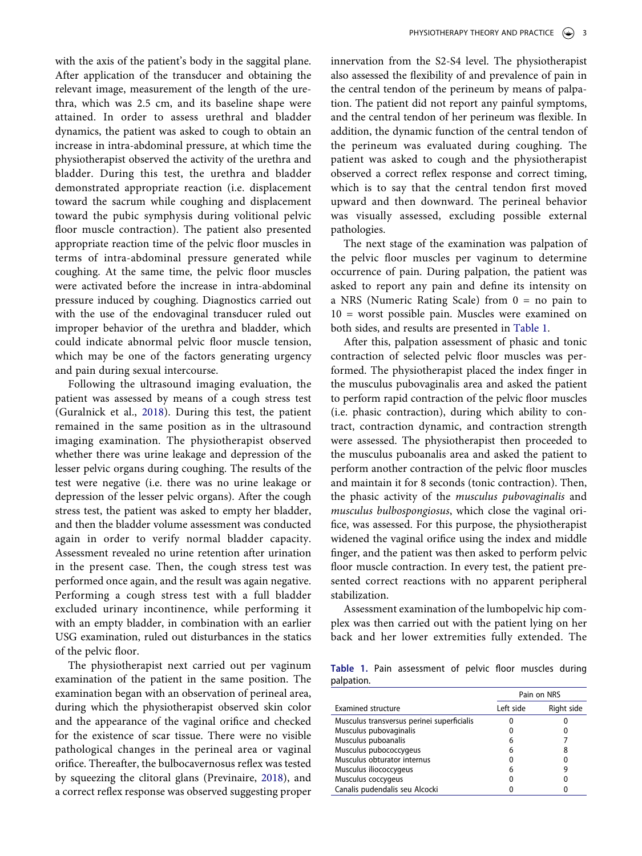with the axis of the patient's body in the saggital plane. After application of the transducer and obtaining the relevant image, measurement of the length of the urethra, which was 2.5 cm, and its baseline shape were attained. In order to assess urethral and bladder dynamics, the patient was asked to cough to obtain an increase in intra-abdominal pressure, at which time the physiotherapist observed the activity of the urethra and bladder. During this test, the urethra and bladder demonstrated appropriate reaction (i.e. displacement toward the sacrum while coughing and displacement toward the pubic symphysis during volitional pelvic floor muscle contraction). The patient also presented appropriate reaction time of the pelvic floor muscles in terms of intra-abdominal pressure generated while coughing. At the same time, the pelvic floor muscles were activated before the increase in intra-abdominal pressure induced by coughing. Diagnostics carried out with the use of the endovaginal transducer ruled out improper behavior of the urethra and bladder, which could indicate abnormal pelvic floor muscle tension, which may be one of the factors generating urgency and pain during sexual intercourse.

<span id="page-3-1"></span>Following the ultrasound imaging evaluation, the patient was assessed by means of a cough stress test (Guralnick et al., [2018\)](#page-7-7). During this test, the patient remained in the same position as in the ultrasound imaging examination. The physiotherapist observed whether there was urine leakage and depression of the lesser pelvic organs during coughing. The results of the test were negative (i.e. there was no urine leakage or depression of the lesser pelvic organs). After the cough stress test, the patient was asked to empty her bladder, and then the bladder volume assessment was conducted again in order to verify normal bladder capacity. Assessment revealed no urine retention after urination in the present case. Then, the cough stress test was performed once again, and the result was again negative. Performing a cough stress test with a full bladder excluded urinary incontinence, while performing it with an empty bladder, in combination with an earlier USG examination, ruled out disturbances in the statics of the pelvic floor.

<span id="page-3-2"></span>The physiotherapist next carried out per vaginum examination of the patient in the same position. The examination began with an observation of perineal area, during which the physiotherapist observed skin color and the appearance of the vaginal orifice and checked for the existence of scar tissue. There were no visible pathological changes in the perineal area or vaginal orifice. Thereafter, the bulbocavernosus reflex was tested by squeezing the clitoral glans (Previnaire, [2018\)](#page-8-7), and a correct reflex response was observed suggesting proper

innervation from the S2-S4 level. The physiotherapist also assessed the flexibility of and prevalence of pain in the central tendon of the perineum by means of palpation. The patient did not report any painful symptoms, and the central tendon of her perineum was flexible. In addition, the dynamic function of the central tendon of the perineum was evaluated during coughing. The patient was asked to cough and the physiotherapist observed a correct reflex response and correct timing, which is to say that the central tendon first moved upward and then downward. The perineal behavior was visually assessed, excluding possible external pathologies.

The next stage of the examination was palpation of the pelvic floor muscles per vaginum to determine occurrence of pain. During palpation, the patient was asked to report any pain and define its intensity on a NRS (Numeric Rating Scale) from 0 = no pain to 10 = worst possible pain. Muscles were examined on both sides, and results are presented in [Table 1.](#page-3-0)

After this, palpation assessment of phasic and tonic contraction of selected pelvic floor muscles was performed. The physiotherapist placed the index finger in the musculus pubovaginalis area and asked the patient to perform rapid contraction of the pelvic floor muscles (i.e. phasic contraction), during which ability to contract, contraction dynamic, and contraction strength were assessed. The physiotherapist then proceeded to the musculus puboanalis area and asked the patient to perform another contraction of the pelvic floor muscles and maintain it for 8 seconds (tonic contraction). Then, the phasic activity of the *musculus pubovaginalis* and *musculus bulbospongiosus*, which close the vaginal orifice, was assessed. For this purpose, the physiotherapist widened the vaginal orifice using the index and middle finger, and the patient was then asked to perform pelvic floor muscle contraction. In every test, the patient presented correct reactions with no apparent peripheral stabilization.

Assessment examination of the lumbopelvic hip complex was then carried out with the patient lying on her back and her lower extremities fully extended. The

<span id="page-3-0"></span>**Table 1.** Pain assessment of pelvic floor muscles during palpation.

|                                            | Pain on NRS |            |
|--------------------------------------------|-------------|------------|
| <b>Examined structure</b>                  | Left side   | Right side |
| Musculus transversus perinei superficialis |             |            |
| Musculus pubovaginalis                     | 0           |            |
| Musculus puboanalis                        | 6           |            |
| Musculus pubococcygeus                     | 6           | 8          |
| Musculus obturator internus                | 0           |            |
| Musculus iliococcygeus                     | 6           | 9          |
| Musculus coccygeus                         | 0           |            |
| Canalis pudendalis seu Alcocki             | 0           |            |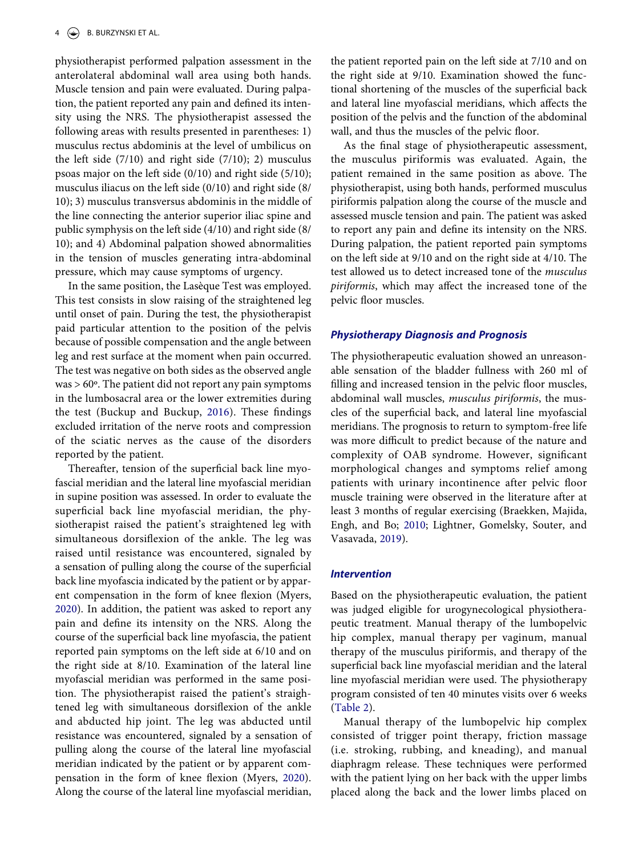physiotherapist performed palpation assessment in the anterolateral abdominal wall area using both hands. Muscle tension and pain were evaluated. During palpation, the patient reported any pain and defined its intensity using the NRS. The physiotherapist assessed the following areas with results presented in parentheses: 1) musculus rectus abdominis at the level of umbilicus on the left side  $(7/10)$  and right side  $(7/10)$ ; 2) musculus psoas major on the left side (0/10) and right side (5/10); musculus iliacus on the left side (0/10) and right side (8/ 10); 3) musculus transversus abdominis in the middle of the line connecting the anterior superior iliac spine and public symphysis on the left side (4/10) and right side (8/ 10); and 4) Abdominal palpation showed abnormalities in the tension of muscles generating intra-abdominal pressure, which may cause symptoms of urgency.

In the same position, the Lasèque Test was employed. This test consists in slow raising of the straightened leg until onset of pain. During the test, the physiotherapist paid particular attention to the position of the pelvis because of possible compensation and the angle between leg and rest surface at the moment when pain occurred. The test was negative on both sides as the observed angle  $was > 60^\circ$ . The patient did not report any pain symptoms in the lumbosacral area or the lower extremities during the test (Buckup and Buckup, [2016](#page-7-8)). These findings excluded irritation of the nerve roots and compression of the sciatic nerves as the cause of the disorders reported by the patient.

<span id="page-4-1"></span>Thereafter, tension of the superficial back line myofascial meridian and the lateral line myofascial meridian in supine position was assessed. In order to evaluate the superficial back line myofascial meridian, the physiotherapist raised the patient's straightened leg with simultaneous dorsiflexion of the ankle. The leg was raised until resistance was encountered, signaled by a sensation of pulling along the course of the superficial back line myofascia indicated by the patient or by apparent compensation in the form of knee flexion (Myers, [2020](#page-8-5)). In addition, the patient was asked to report any pain and define its intensity on the NRS. Along the course of the superficial back line myofascia, the patient reported pain symptoms on the left side at 6/10 and on the right side at 8/10. Examination of the lateral line myofascial meridian was performed in the same position. The physiotherapist raised the patient's straightened leg with simultaneous dorsiflexion of the ankle and abducted hip joint. The leg was abducted until resistance was encountered, signaled by a sensation of pulling along the course of the lateral line myofascial meridian indicated by the patient or by apparent compensation in the form of knee flexion (Myers, [2020\)](#page-8-5). Along the course of the lateral line myofascial meridian,

the patient reported pain on the left side at 7/10 and on the right side at 9/10. Examination showed the functional shortening of the muscles of the superficial back and lateral line myofascial meridians, which affects the position of the pelvis and the function of the abdominal wall, and thus the muscles of the pelvic floor.

As the final stage of physiotherapeutic assessment, the musculus piriformis was evaluated. Again, the patient remained in the same position as above. The physiotherapist, using both hands, performed musculus piriformis palpation along the course of the muscle and assessed muscle tension and pain. The patient was asked to report any pain and define its intensity on the NRS. During palpation, the patient reported pain symptoms on the left side at 9/10 and on the right side at 4/10. The test allowed us to detect increased tone of the *musculus piriformis*, which may affect the increased tone of the pelvic floor muscles.

# *Physiotherapy Diagnosis and Prognosis*

The physiotherapeutic evaluation showed an unreasonable sensation of the bladder fullness with 260 ml of filling and increased tension in the pelvic floor muscles, abdominal wall muscles, *musculus piriformis*, the muscles of the superficial back, and lateral line myofascial meridians. The prognosis to return to symptom-free life was more difficult to predict because of the nature and complexity of OAB syndrome. However, significant morphological changes and symptoms relief among patients with urinary incontinence after pelvic floor muscle training were observed in the literature after at least 3 months of regular exercising (Braekken, Majida, Engh, and Bo; [2010;](#page-7-9) Lightner, Gomelsky, Souter, and Vasavada, [2019\)](#page-8-8).

#### <span id="page-4-2"></span><span id="page-4-0"></span>*Intervention*

Based on the physiotherapeutic evaluation, the patient was judged eligible for urogynecological physiotherapeutic treatment. Manual therapy of the lumbopelvic hip complex, manual therapy per vaginum, manual therapy of the musculus piriformis, and therapy of the superficial back line myofascial meridian and the lateral line myofascial meridian were used. The physiotherapy program consisted of ten 40 minutes visits over 6 weeks ([Table 2](#page-5-0)).

Manual therapy of the lumbopelvic hip complex consisted of trigger point therapy, friction massage (i.e. stroking, rubbing, and kneading), and manual diaphragm release. These techniques were performed with the patient lying on her back with the upper limbs placed along the back and the lower limbs placed on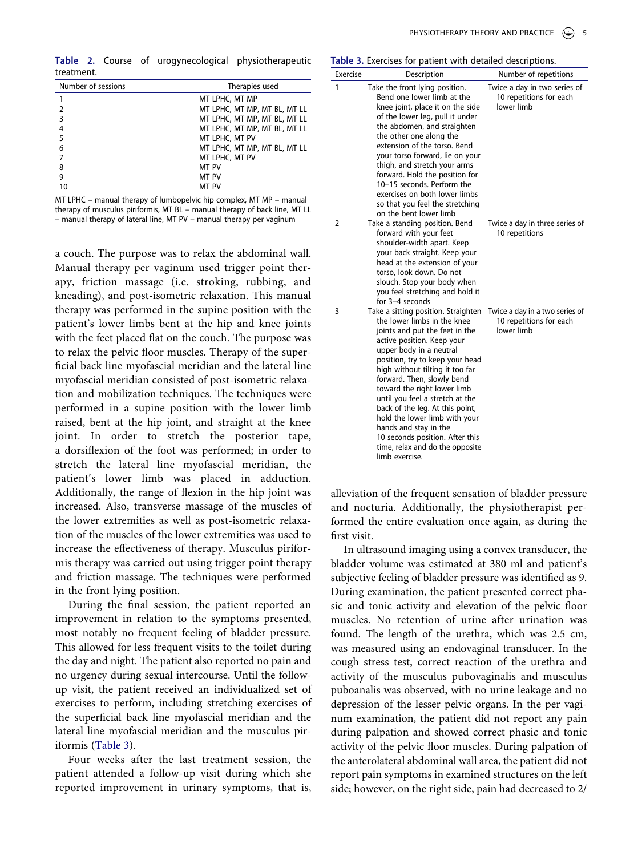<span id="page-5-0"></span>**Table 2.** Course of urogynecological physiotherapeutic treatment.

| Number of sessions | Therapies used               |  |
|--------------------|------------------------------|--|
|                    | MT LPHC, MT MP               |  |
|                    | MT LPHC, MT MP, MT BL, MT LL |  |
|                    | MT LPHC, MT MP, MT BL, MT LL |  |
|                    | MT LPHC, MT MP, MT BL, MT LL |  |
|                    | MT LPHC, MT PV               |  |
| 6                  | MT LPHC, MT MP, MT BL, MT LL |  |
|                    | MT LPHC, MT PV               |  |
| 8                  | MT PV                        |  |
|                    | MT PV                        |  |
| 10                 | MT PV                        |  |

MT LPHC – manual therapy of lumbopelvic hip complex, MT MP – manual therapy of musculus piriformis, MT BL – manual therapy of back line, MT LL – manual therapy of lateral line, MT PV – manual therapy per vaginum

a couch. The purpose was to relax the abdominal wall. Manual therapy per vaginum used trigger point therapy, friction massage (i.e. stroking, rubbing, and kneading), and post-isometric relaxation. This manual therapy was performed in the supine position with the patient's lower limbs bent at the hip and knee joints with the feet placed flat on the couch. The purpose was to relax the pelvic floor muscles. Therapy of the superficial back line myofascial meridian and the lateral line myofascial meridian consisted of post-isometric relaxation and mobilization techniques. The techniques were performed in a supine position with the lower limb raised, bent at the hip joint, and straight at the knee joint. In order to stretch the posterior tape, a dorsiflexion of the foot was performed; in order to stretch the lateral line myofascial meridian, the patient's lower limb was placed in adduction. Additionally, the range of flexion in the hip joint was increased. Also, transverse massage of the muscles of the lower extremities as well as post-isometric relaxation of the muscles of the lower extremities was used to increase the effectiveness of therapy. Musculus piriformis therapy was carried out using trigger point therapy and friction massage. The techniques were performed in the front lying position.

During the final session, the patient reported an improvement in relation to the symptoms presented, most notably no frequent feeling of bladder pressure. This allowed for less frequent visits to the toilet during the day and night. The patient also reported no pain and no urgency during sexual intercourse. Until the followup visit, the patient received an individualized set of exercises to perform, including stretching exercises of the superficial back line myofascial meridian and the lateral line myofascial meridian and the musculus piriformis ([Table 3\)](#page-5-1).

Four weeks after the last treatment session, the patient attended a follow-up visit during which she reported improvement in urinary symptoms, that is,

<span id="page-5-1"></span>**Table 3.** Exercises for patient with detailed descriptions.

| Exercise | Description                                                                                                                                                                                                                                                                                                                                                                                                                                                                                                              | Number of repetitions                                                   |
|----------|--------------------------------------------------------------------------------------------------------------------------------------------------------------------------------------------------------------------------------------------------------------------------------------------------------------------------------------------------------------------------------------------------------------------------------------------------------------------------------------------------------------------------|-------------------------------------------------------------------------|
| 1        | Take the front lying position.<br>Bend one lower limb at the<br>knee joint, place it on the side<br>of the lower leg, pull it under<br>the abdomen, and straighten<br>the other one along the<br>extension of the torso. Bend<br>your torso forward, lie on your<br>thigh, and stretch your arms<br>forward. Hold the position for<br>10-15 seconds. Perform the<br>exercises on both lower limbs<br>so that you feel the stretching<br>on the bent lower limb                                                           | Twice a day in two series of<br>10 repetitions for each<br>lower limb   |
| 2        | Take a standing position. Bend<br>forward with your feet<br>shoulder-width apart. Keep<br>your back straight. Keep your<br>head at the extension of your<br>torso, look down. Do not<br>slouch. Stop your body when<br>you feel stretching and hold it<br>for 3-4 seconds                                                                                                                                                                                                                                                | Twice a day in three series of<br>10 repetitions                        |
| 3        | Take a sitting position. Straighten<br>the lower limbs in the knee<br>joints and put the feet in the<br>active position. Keep your<br>upper body in a neutral<br>position, try to keep your head<br>high without tilting it too far<br>forward. Then, slowly bend<br>toward the right lower limb<br>until you feel a stretch at the<br>back of the leg. At this point,<br>hold the lower limb with your<br>hands and stay in the<br>10 seconds position. After this<br>time, relax and do the opposite<br>limb exercise. | Twice a day in a two series of<br>10 repetitions for each<br>lower limb |

alleviation of the frequent sensation of bladder pressure and nocturia. Additionally, the physiotherapist performed the entire evaluation once again, as during the first visit.

In ultrasound imaging using a convex transducer, the bladder volume was estimated at 380 ml and patient's subjective feeling of bladder pressure was identified as 9. During examination, the patient presented correct phasic and tonic activity and elevation of the pelvic floor muscles. No retention of urine after urination was found. The length of the urethra, which was 2.5 cm, was measured using an endovaginal transducer. In the cough stress test, correct reaction of the urethra and activity of the musculus pubovaginalis and musculus puboanalis was observed, with no urine leakage and no depression of the lesser pelvic organs. In the per vaginum examination, the patient did not report any pain during palpation and showed correct phasic and tonic activity of the pelvic floor muscles. During palpation of the anterolateral abdominal wall area, the patient did not report pain symptoms in examined structures on the left side; however, on the right side, pain had decreased to 2/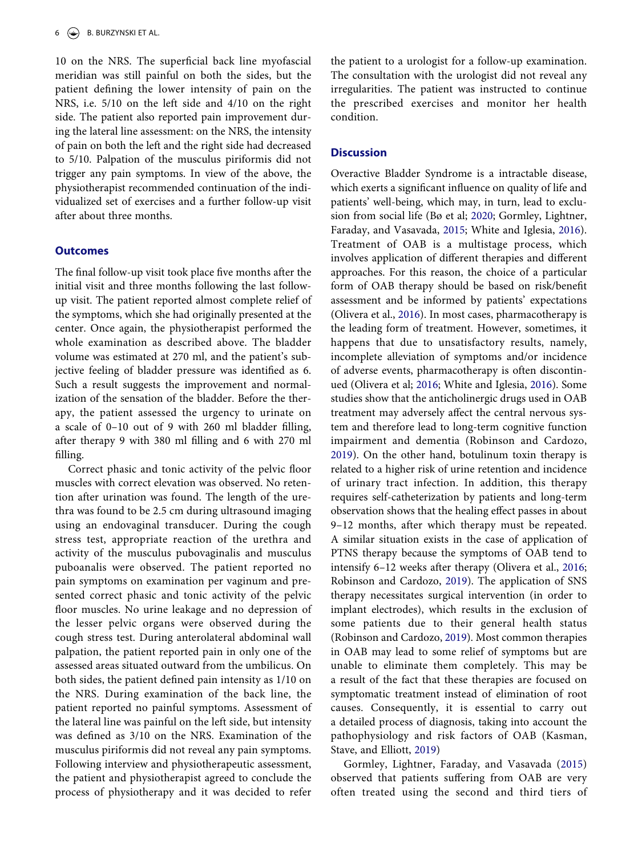10 on the NRS. The superficial back line myofascial meridian was still painful on both the sides, but the patient defining the lower intensity of pain on the NRS, i.e. 5/10 on the left side and 4/10 on the right side. The patient also reported pain improvement during the lateral line assessment: on the NRS, the intensity of pain on both the left and the right side had decreased to 5/10. Palpation of the musculus piriformis did not trigger any pain symptoms. In view of the above, the physiotherapist recommended continuation of the individualized set of exercises and a further follow-up visit after about three months.

### **Outcomes**

The final follow-up visit took place five months after the initial visit and three months following the last followup visit. The patient reported almost complete relief of the symptoms, which she had originally presented at the center. Once again, the physiotherapist performed the whole examination as described above. The bladder volume was estimated at 270 ml, and the patient's subjective feeling of bladder pressure was identified as 6. Such a result suggests the improvement and normalization of the sensation of the bladder. Before the therapy, the patient assessed the urgency to urinate on a scale of 0–10 out of 9 with 260 ml bladder filling, after therapy 9 with 380 ml filling and 6 with 270 ml filling.

Correct phasic and tonic activity of the pelvic floor muscles with correct elevation was observed. No retention after urination was found. The length of the urethra was found to be 2.5 cm during ultrasound imaging using an endovaginal transducer. During the cough stress test, appropriate reaction of the urethra and activity of the musculus pubovaginalis and musculus puboanalis were observed. The patient reported no pain symptoms on examination per vaginum and presented correct phasic and tonic activity of the pelvic floor muscles. No urine leakage and no depression of the lesser pelvic organs were observed during the cough stress test. During anterolateral abdominal wall palpation, the patient reported pain in only one of the assessed areas situated outward from the umbilicus. On both sides, the patient defined pain intensity as 1/10 on the NRS. During examination of the back line, the patient reported no painful symptoms. Assessment of the lateral line was painful on the left side, but intensity was defined as 3/10 on the NRS. Examination of the musculus piriformis did not reveal any pain symptoms. Following interview and physiotherapeutic assessment, the patient and physiotherapist agreed to conclude the process of physiotherapy and it was decided to refer the patient to a urologist for a follow-up examination. The consultation with the urologist did not reveal any irregularities. The patient was instructed to continue the prescribed exercises and monitor her health condition.

# **Discussion**

Overactive Bladder Syndrome is a intractable disease, which exerts a significant influence on quality of life and patients' well-being, which may, in turn, lead to exclusion from social life (Bø et al; [2020](#page-7-0); Gormley, Lightner, Faraday, and Vasavada, [2015](#page-7-4); White and Iglesia, [2016\)](#page-8-0). Treatment of OAB is a multistage process, which involves application of different therapies and different approaches. For this reason, the choice of a particular form of OAB therapy should be based on risk/benefit assessment and be informed by patients' expectations (Olivera et al., [2016\)](#page-8-9). In most cases, pharmacotherapy is the leading form of treatment. However, sometimes, it happens that due to unsatisfactory results, namely, incomplete alleviation of symptoms and/or incidence of adverse events, pharmacotherapy is often discontinued (Olivera et al; [2016](#page-8-9); White and Iglesia, [2016\)](#page-8-0). Some studies show that the anticholinergic drugs used in OAB treatment may adversely affect the central nervous system and therefore lead to long-term cognitive function impairment and dementia (Robinson and Cardozo, [2019](#page-8-1)). On the other hand, botulinum toxin therapy is related to a higher risk of urine retention and incidence of urinary tract infection. In addition, this therapy requires self-catheterization by patients and long-term observation shows that the healing effect passes in about 9–12 months, after which therapy must be repeated. A similar situation exists in the case of application of PTNS therapy because the symptoms of OAB tend to intensify 6–12 weeks after therapy (Olivera et al., [2016;](#page-8-9) Robinson and Cardozo, [2019](#page-8-1)). The application of SNS therapy necessitates surgical intervention (in order to implant electrodes), which results in the exclusion of some patients due to their general health status (Robinson and Cardozo, [2019\)](#page-8-1). Most common therapies in OAB may lead to some relief of symptoms but are unable to eliminate them completely. This may be a result of the fact that these therapies are focused on symptomatic treatment instead of elimination of root causes. Consequently, it is essential to carry out a detailed process of diagnosis, taking into account the pathophysiology and risk factors of OAB (Kasman, Stave, and Elliott, [2019\)](#page-8-10)

<span id="page-6-1"></span><span id="page-6-0"></span>Gormley, Lightner, Faraday, and Vasavada ([2015](#page-7-4)) observed that patients suffering from OAB are very often treated using the second and third tiers of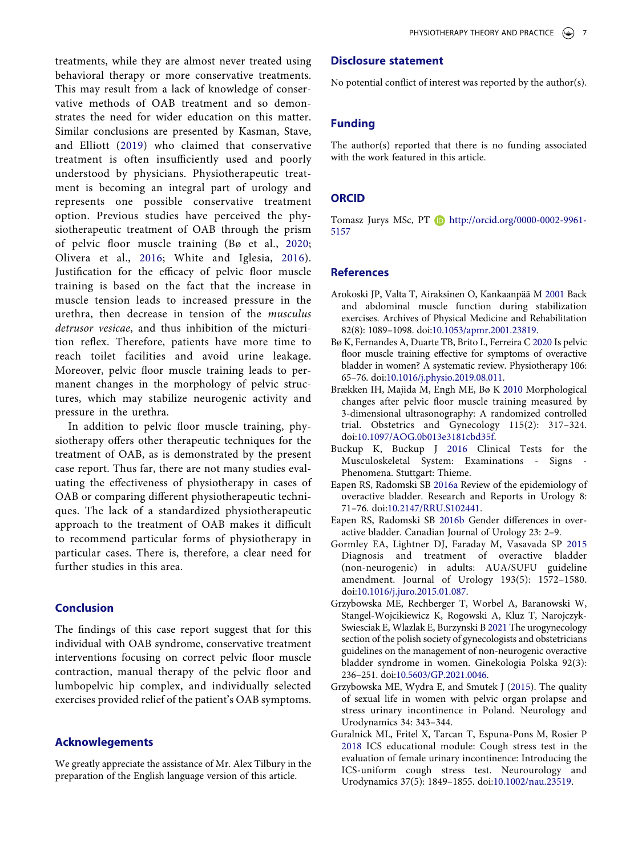treatments, while they are almost never treated using behavioral therapy or more conservative treatments. This may result from a lack of knowledge of conservative methods of OAB treatment and so demonstrates the need for wider education on this matter. Similar conclusions are presented by Kasman, Stave, and Elliott [\(2019\)](#page-8-10) who claimed that conservative treatment is often insufficiently used and poorly understood by physicians. Physiotherapeutic treatment is becoming an integral part of urology and represents one possible conservative treatment option. Previous studies have perceived the physiotherapeutic treatment of OAB through the prism of pelvic floor muscle training (Bø et al., [2020;](#page-7-0) Olivera et al., [2016](#page-8-9); White and Iglesia, [2016\)](#page-8-0). Justification for the efficacy of pelvic floor muscle training is based on the fact that the increase in muscle tension leads to increased pressure in the urethra, then decrease in tension of the *musculus detrusor vesicae*, and thus inhibition of the micturition reflex. Therefore, patients have more time to reach toilet facilities and avoid urine leakage. Moreover, pelvic floor muscle training leads to permanent changes in the morphology of pelvic structures, which may stabilize neurogenic activity and pressure in the urethra.

In addition to pelvic floor muscle training, physiotherapy offers other therapeutic techniques for the treatment of OAB, as is demonstrated by the present case report. Thus far, there are not many studies evaluating the effectiveness of physiotherapy in cases of OAB or comparing different physiotherapeutic techniques. The lack of a standardized physiotherapeutic approach to the treatment of OAB makes it difficult to recommend particular forms of physiotherapy in particular cases. There is, therefore, a clear need for further studies in this area.

# **Conclusion**

The findings of this case report suggest that for this individual with OAB syndrome, conservative treatment interventions focusing on correct pelvic floor muscle contraction, manual therapy of the pelvic floor and lumbopelvic hip complex, and individually selected exercises provided relief of the patient's OAB symptoms.

# **Acknowlegements**

We greatly appreciate the assistance of Mr. Alex Tilbury in the preparation of the English language version of this article.

# **Disclosure statement**

No potential conflict of interest was reported by the author(s).

# **Funding**

The author(s) reported that there is no funding associated with the work featured in this article.

# **ORCID**

Tomasz Jurys MSc, PT **b** http://orcid.org/0000-0002-9961-5157

# **References**

- <span id="page-7-6"></span>Arokoski JP, Valta T, Airaksinen O, Kankaanpää M [2001](#page-2-0) Back and abdominal muscle function during stabilization exercises. Archives of Physical Medicine and Rehabilitation 82(8): 1089–1098. doi:[10.1053/apmr.2001.23819](https://doi.org/10.1053/apmr.2001.23819).
- <span id="page-7-0"></span>Bø K, Fernandes A, Duarte TB, Brito L, Ferreira C [2020](#page-1-3) Is pelvic floor muscle training effective for symptoms of overactive bladder in women? A systematic review. Physiotherapy 106: 65–76. doi:[10.1016/j.physio.2019.08.011.](https://doi.org/10.1016/j.physio.2019.08.011)
- <span id="page-7-9"></span>Brækken IH, Majida M, Engh ME, Bø K [2010](#page-4-0) Morphological changes after pelvic floor muscle training measured by 3-dimensional ultrasonography: A randomized controlled trial. Obstetrics and Gynecology 115(2): 317–324. doi:[10.1097/AOG.0b013e3181cbd35f](https://doi.org/10.1097/AOG.0b013e3181cbd35f).
- <span id="page-7-8"></span>Buckup K, Buckup J [2016](#page-4-1) Clinical Tests for the Musculoskeletal System: Examinations - Signs - Phenomena. Stuttgart: Thieme.
- <span id="page-7-2"></span>Eapen RS, Radomski SB [2016a](#page-1-4) Review of the epidemiology of overactive bladder. Research and Reports in Urology 8: 71–76. doi:[10.2147/RRU.S102441](https://doi.org/10.2147/RRU.S102441).
- <span id="page-7-3"></span>Eapen RS, Radomski SB [2016b](#page-1-5) Gender differences in overactive bladder. Canadian Journal of Urology 23: 2–9.
- <span id="page-7-4"></span>Gormley EA, Lightner DJ, Faraday M, Vasavada SP [2015](#page-1-6) Diagnosis and treatment of overactive bladder (non-neurogenic) in adults: AUA/SUFU guideline amendment. Journal of Urology 193(5): 1572–1580. doi:[10.1016/j.juro.2015.01.087](https://doi.org/10.1016/j.juro.2015.01.087).
- <span id="page-7-1"></span>Grzybowska ME, Rechberger T, Worbel A, Baranowski W, Stangel-Wojcikiewicz K, Rogowski A, Kluz T, Narojczyk-Swiesciak E, Wlazlak E, Burzynski B [2021](#page-1-6) The urogynecology section of the polish society of gynecologists and obstetricians guidelines on the management of non-neurogenic overactive bladder syndrome in women. Ginekologia Polska 92(3): 236–251. doi:[10.5603/GP.2021.0046](https://doi.org/10.5603/GP.2021.0046).
- <span id="page-7-5"></span>Grzybowska ME, Wydra E, and Smutek J [\(2015\)](#page-2-1). The quality of sexual life in women with pelvic organ prolapse and stress urinary incontinence in Poland. Neurology and Urodynamics 34: 343–344.
- <span id="page-7-7"></span>Guralnick ML, Fritel X, Tarcan T, Espuna-Pons M, Rosier P [2018](#page-3-1) ICS educational module: Cough stress test in the evaluation of female urinary incontinence: Introducing the ICS-uniform cough stress test. Neurourology and Urodynamics 37(5): 1849–1855. doi:[10.1002/nau.23519.](https://doi.org/10.1002/nau.23519)